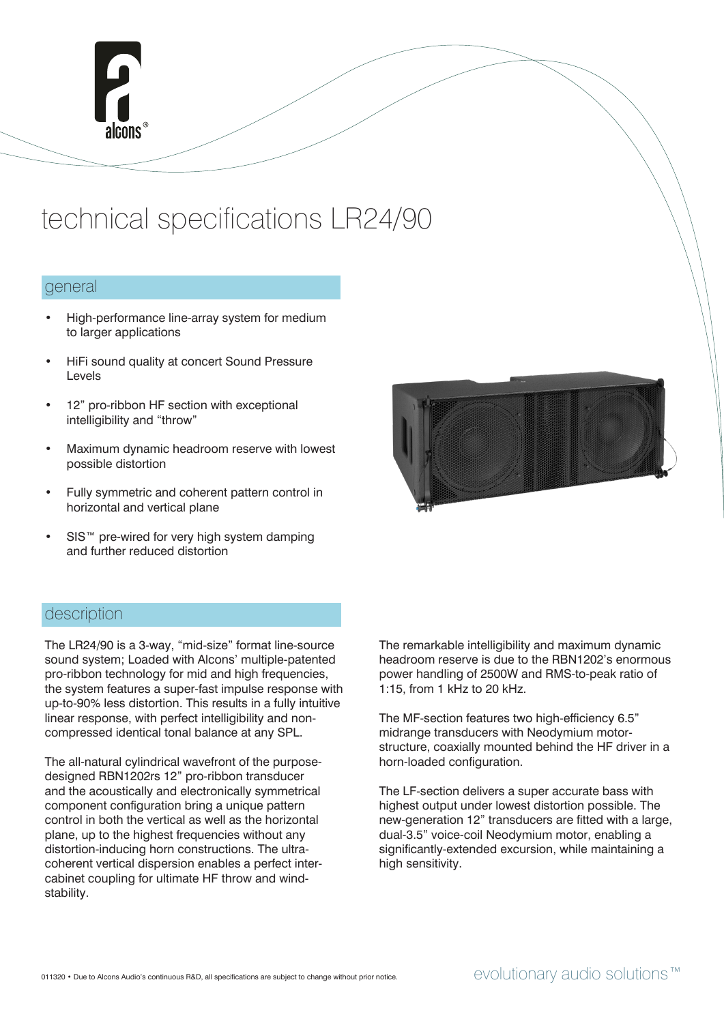

# technical specifications LR24/90

### general

- High-performance line-array system for medium to larger applications
- HiFi sound quality at concert Sound Pressure Levels
- 12" pro-ribbon HF section with exceptional intelligibility and "throw"
- Maximum dynamic headroom reserve with lowest possible distortion
- Fully symmetric and coherent pattern control in horizontal and vertical plane
- SIS<sup>™</sup> pre-wired for very high system damping and further reduced distortion



## description

The LR24/90 is a 3-way, "mid-size" format line-source sound system; Loaded with Alcons' multiple-patented pro-ribbon technology for mid and high frequencies, the system features a super-fast impulse response with up-to-90% less distortion. This results in a fully intuitive linear response, with perfect intelligibility and noncompressed identical tonal balance at any SPL.

The all-natural cylindrical wavefront of the purposedesigned RBN1202rs 12" pro-ribbon transducer and the acoustically and electronically symmetrical component configuration bring a unique pattern control in both the vertical as well as the horizontal plane, up to the highest frequencies without any distortion-inducing horn constructions. The ultracoherent vertical dispersion enables a perfect intercabinet coupling for ultimate HF throw and windstability.

The remarkable intelligibility and maximum dynamic headroom reserve is due to the RBN1202's enormous power handling of 2500W and RMS-to-peak ratio of 1:15, from 1 kHz to 20 kHz.

The MF-section features two high-efficiency 6.5" midrange transducers with Neodymium motorstructure, coaxially mounted behind the HF driver in a horn-loaded configuration.

The LF-section delivers a super accurate bass with highest output under lowest distortion possible. The new-generation 12" transducers are fitted with a large, dual-3.5" voice-coil Neodymium motor, enabling a significantly-extended excursion, while maintaining a high sensitivity.